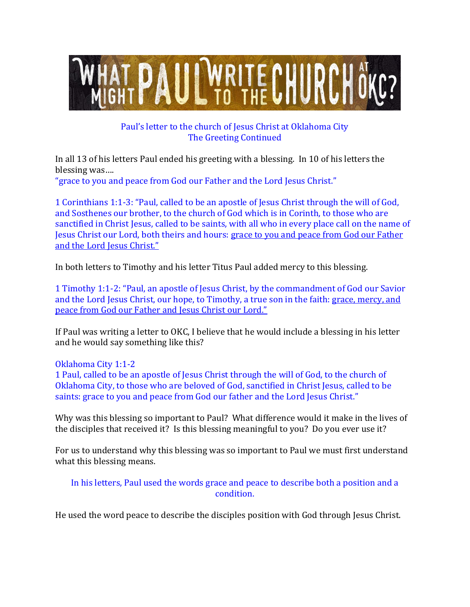

## Paul's letter to the church of Jesus Christ at Oklahoma City The Greeting Continued

In all 13 of his letters Paul ended his greeting with a blessing. In 10 of his letters the blessing was….

"grace to you and peace from God our Father and the Lord Jesus Christ."

1 Corinthians 1:1-3: "Paul, called to be an apostle of Jesus Christ through the will of God, and Sosthenes our brother, to the church of God which is in Corinth, to those who are sanctified in Christ Jesus, called to be saints, with all who in every place call on the name of Jesus Christ our Lord, both theirs and hours: grace to you and peace from God our Father and the Lord Jesus Christ."

In both letters to Timothy and his letter Titus Paul added mercy to this blessing.

1 Timothy 1:1-2: "Paul, an apostle of Jesus Christ, by the commandment of God our Savior and the Lord Jesus Christ, our hope, to Timothy, a true son in the faith: grace, mercy, and peace from God our Father and Jesus Christ our Lord."

If Paul was writing a letter to OKC, I believe that he would include a blessing in his letter and he would say something like this?

Oklahoma City 1:1-2

1 Paul, called to be an apostle of Jesus Christ through the will of God, to the church of Oklahoma City, to those who are beloved of God, sanctified in Christ Jesus, called to be saints: grace to you and peace from God our father and the Lord Jesus Christ."

Why was this blessing so important to Paul? What difference would it make in the lives of the disciples that received it? Is this blessing meaningful to you? Do you ever use it?

For us to understand why this blessing was so important to Paul we must first understand what this blessing means.

In his letters, Paul used the words grace and peace to describe both a position and a condition.

He used the word peace to describe the disciples position with God through Jesus Christ.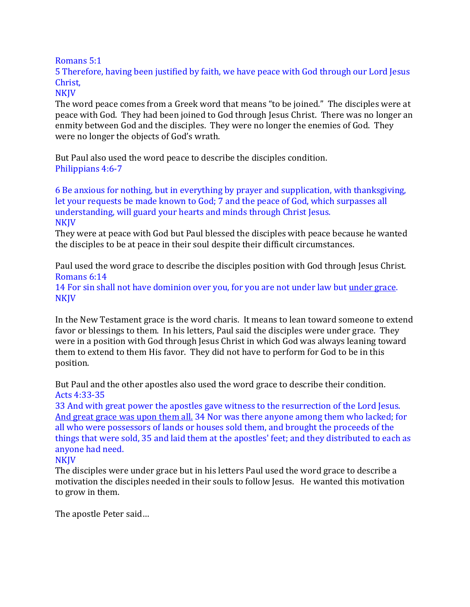Romans 5:1

5 Therefore, having been justified by faith, we have peace with God through our Lord Jesus Christ,

**NKJV** 

The word peace comes from a Greek word that means "to be joined." The disciples were at peace with God. They had been joined to God through Jesus Christ. There was no longer an enmity between God and the disciples. They were no longer the enemies of God. They were no longer the objects of God's wrath.

But Paul also used the word peace to describe the disciples condition. Philippians 4:6-7

6 Be anxious for nothing, but in everything by prayer and supplication, with thanksgiving, let your requests be made known to God; 7 and the peace of God, which surpasses all understanding, will guard your hearts and minds through Christ Jesus. **NKJV** 

They were at peace with God but Paul blessed the disciples with peace because he wanted the disciples to be at peace in their soul despite their difficult circumstances.

Paul used the word grace to describe the disciples position with God through Jesus Christ. Romans 6:14

14 For sin shall not have dominion over you, for you are not under law but under grace. NKJV

In the New Testament grace is the word charis. It means to lean toward someone to extend favor or blessings to them. In his letters, Paul said the disciples were under grace. They were in a position with God through Jesus Christ in which God was always leaning toward them to extend to them His favor. They did not have to perform for God to be in this position.

But Paul and the other apostles also used the word grace to describe their condition. Acts 4:33-35

33 And with great power the apostles gave witness to the resurrection of the Lord Jesus. And great grace was upon them all. 34 Nor was there anyone among them who lacked; for all who were possessors of lands or houses sold them, and brought the proceeds of the things that were sold, 35 and laid them at the apostles' feet; and they distributed to each as anyone had need.

## **NKJV**

The disciples were under grace but in his letters Paul used the word grace to describe a motivation the disciples needed in their souls to follow Jesus. He wanted this motivation to grow in them.

The apostle Peter said…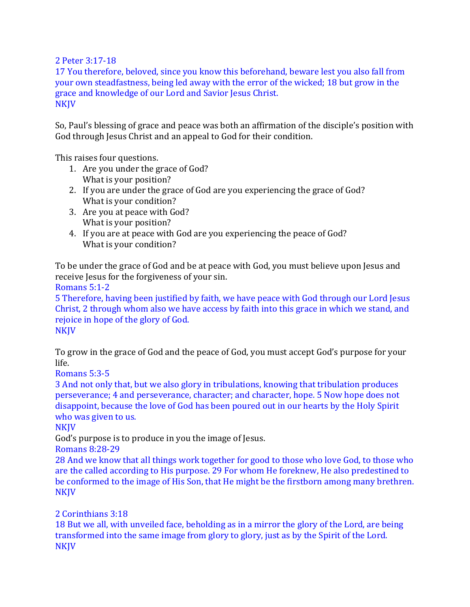2 Peter 3:17-18

17 You therefore, beloved, since you know this beforehand, beware lest you also fall from your own steadfastness, being led away with the error of the wicked; 18 but grow in the grace and knowledge of our Lord and Savior Jesus Christ. NKJV

So, Paul's blessing of grace and peace was both an affirmation of the disciple's position with God through Jesus Christ and an appeal to God for their condition.

This raises four questions.

- 1. Are you under the grace of God? What is your position?
- 2. If you are under the grace of God are you experiencing the grace of God? What is your condition?
- 3. Are you at peace with God? What is your position?
- 4. If you are at peace with God are you experiencing the peace of God? What is your condition?

To be under the grace of God and be at peace with God, you must believe upon Jesus and receive Jesus for the forgiveness of your sin.

Romans 5:1-2

5 Therefore, having been justified by faith, we have peace with God through our Lord Jesus Christ, 2 through whom also we have access by faith into this grace in which we stand, and rejoice in hope of the glory of God. **NKJV** 

To grow in the grace of God and the peace of God, you must accept God's purpose for your life.

Romans 5:3-5

3 And not only that, but we also glory in tribulations, knowing that tribulation produces perseverance; 4 and perseverance, character; and character, hope. 5 Now hope does not disappoint, because the love of God has been poured out in our hearts by the Holy Spirit who was given to us.

NKJV

God's purpose is to produce in you the image of Jesus.

Romans 8:28-29

28 And we know that all things work together for good to those who love God, to those who are the called according to His purpose. 29 For whom He foreknew, He also predestined to be conformed to the image of His Son, that He might be the firstborn among many brethren. NKJV

## 2 Corinthians 3:18

18 But we all, with unveiled face, beholding as in a mirror the glory of the Lord, are being transformed into the same image from glory to glory, just as by the Spirit of the Lord. NKJV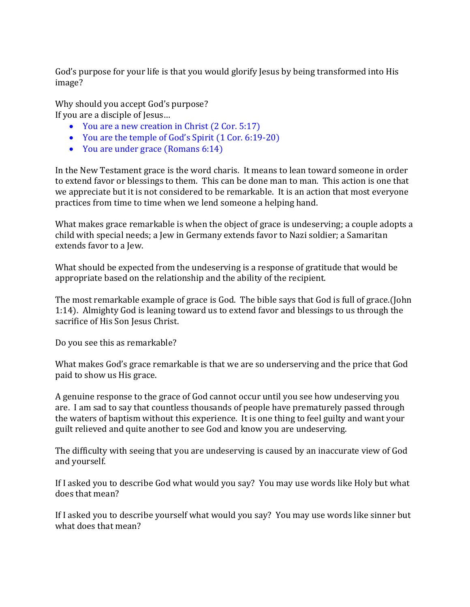God's purpose for your life is that you would glorify Jesus by being transformed into His image?

Why should you accept God's purpose? If you are a disciple of Jesus…

- You are a new creation in Christ (2 Cor. 5:17)
- You are the temple of God's Spirit (1 Cor. 6:19-20)
- You are under grace (Romans 6:14)

In the New Testament grace is the word charis. It means to lean toward someone in order to extend favor or blessings to them. This can be done man to man. This action is one that we appreciate but it is not considered to be remarkable. It is an action that most everyone practices from time to time when we lend someone a helping hand.

What makes grace remarkable is when the object of grace is undeserving; a couple adopts a child with special needs; a Jew in Germany extends favor to Nazi soldier; a Samaritan extends favor to a Jew.

What should be expected from the undeserving is a response of gratitude that would be appropriate based on the relationship and the ability of the recipient.

The most remarkable example of grace is God. The bible says that God is full of grace.(John 1:14). Almighty God is leaning toward us to extend favor and blessings to us through the sacrifice of His Son Jesus Christ.

Do you see this as remarkable?

What makes God's grace remarkable is that we are so underserving and the price that God paid to show us His grace.

A genuine response to the grace of God cannot occur until you see how undeserving you are. I am sad to say that countless thousands of people have prematurely passed through the waters of baptism without this experience. It is one thing to feel guilty and want your guilt relieved and quite another to see God and know you are undeserving.

The difficulty with seeing that you are undeserving is caused by an inaccurate view of God and yourself.

If I asked you to describe God what would you say? You may use words like Holy but what does that mean?

If I asked you to describe yourself what would you say? You may use words like sinner but what does that mean?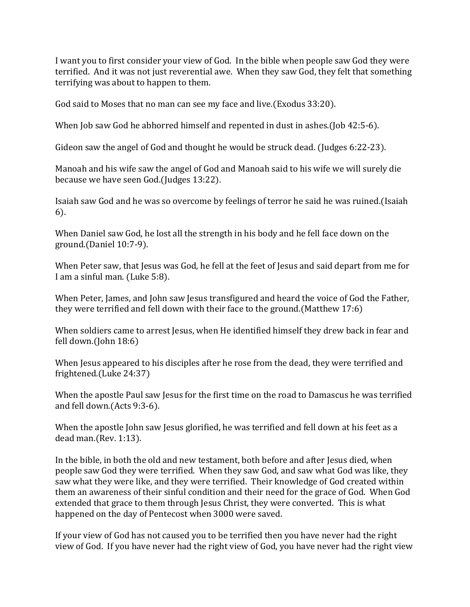I want you to first consider your view of God. In the bible when people saw God they were terrified. And it was not just reverential awe. When they saw God, they felt that something terrifying was about to happen to them.

God said to Moses that no man can see my face and live.(Exodus 33:20).

When Job saw God he abhorred himself and repented in dust in ashes.(Job 42:5-6).

Gideon saw the angel of God and thought he would be struck dead. (Judges 6:22-23).

Manoah and his wife saw the angel of God and Manoah said to his wife we will surely die because we have seen God.(Judges 13:22).

Isaiah saw God and he was so overcome by feelings of terror he said he was ruined.(Isaiah 6).

When Daniel saw God, he lost all the strength in his body and he fell face down on the ground.(Daniel 10:7-9).

When Peter saw, that Jesus was God, he fell at the feet of Jesus and said depart from me for I am a sinful man. (Luke 5:8).

When Peter, James, and John saw Jesus transfigured and heard the voice of God the Father, they were terrified and fell down with their face to the ground.(Matthew 17:6)

When soldiers came to arrest Jesus, when He identified himself they drew back in fear and fell down.(John 18:6)

When Jesus appeared to his disciples after he rose from the dead, they were terrified and frightened.(Luke 24:37)

When the apostle Paul saw Jesus for the first time on the road to Damascus he was terrified and fell down.(Acts 9:3-6).

When the apostle John saw Jesus glorified, he was terrified and fell down at his feet as a dead man.(Rev. 1:13).

In the bible, in both the old and new testament, both before and after Jesus died, when people saw God they were terrified. When they saw God, and saw what God was like, they saw what they were like, and they were terrified. Their knowledge of God created within them an awareness of their sinful condition and their need for the grace of God. When God extended that grace to them through Jesus Christ, they were converted. This is what happened on the day of Pentecost when 3000 were saved.

If your view of God has not caused you to be terrified then you have never had the right view of God. If you have never had the right view of God, you have never had the right view